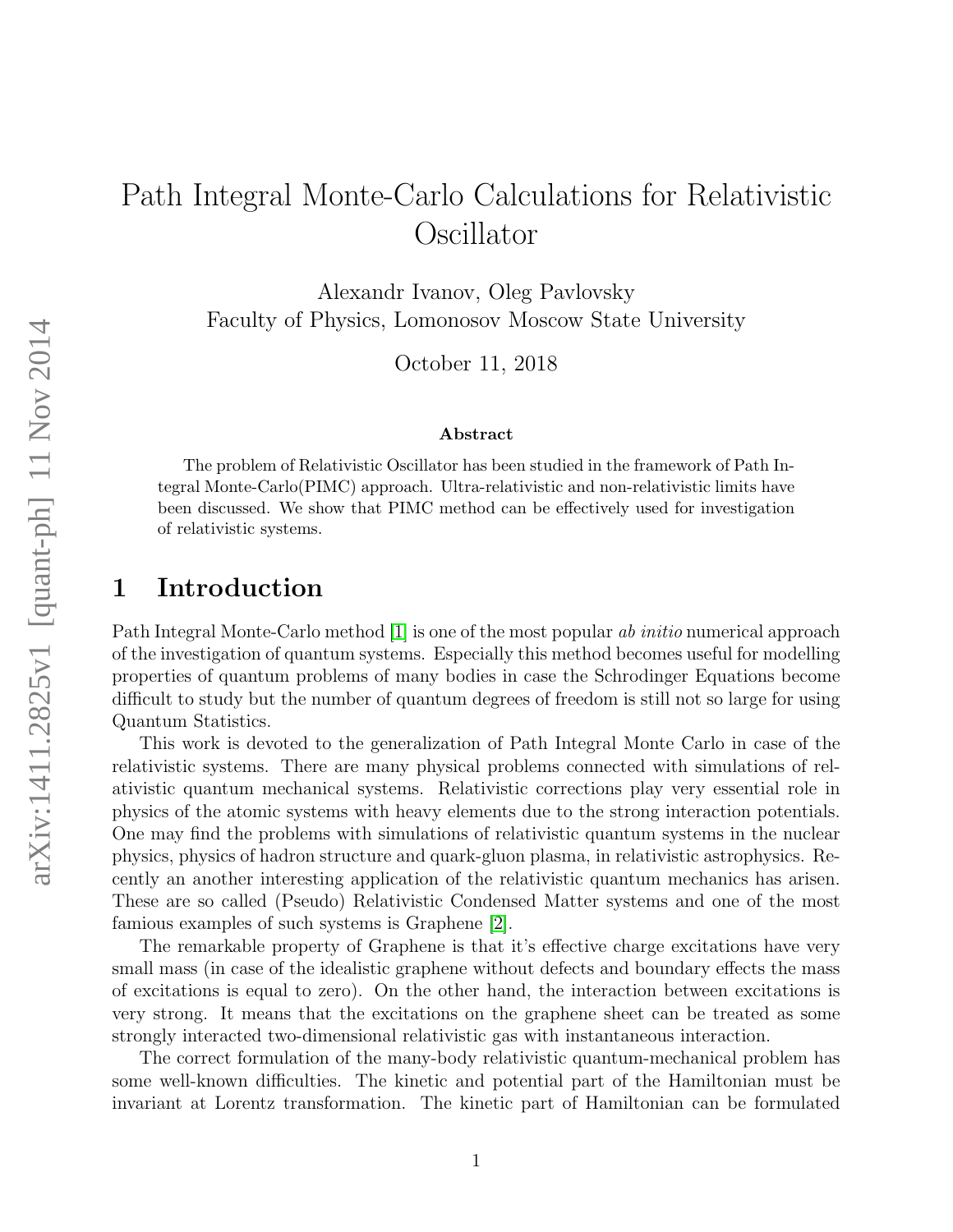# Path Integral Monte-Carlo Calculations for Relativistic Oscillator

Alexandr Ivanov, Oleg Pavlovsky Faculty of Physics, Lomonosov Moscow State University

October 11, 2018

#### Abstract

The problem of Relativistic Oscillator has been studied in the framework of Path Integral Monte-Carlo(PIMC) approach. Ultra-relativistic and non-relativistic limits have been discussed. We show that PIMC method can be effectively used for investigation of relativistic systems.

### 1 Introduction

Path Integral Monte-Carlo method [\[1\]](#page-11-0) is one of the most popular ab initio numerical approach of the investigation of quantum systems. Especially this method becomes useful for modelling properties of quantum problems of many bodies in case the Schrodinger Equations become difficult to study but the number of quantum degrees of freedom is still not so large for using Quantum Statistics.

This work is devoted to the generalization of Path Integral Monte Carlo in case of the relativistic systems. There are many physical problems connected with simulations of relativistic quantum mechanical systems. Relativistic corrections play very essential role in physics of the atomic systems with heavy elements due to the strong interaction potentials. One may find the problems with simulations of relativistic quantum systems in the nuclear physics, physics of hadron structure and quark-gluon plasma, in relativistic astrophysics. Recently an another interesting application of the relativistic quantum mechanics has arisen. These are so called (Pseudo) Relativistic Condensed Matter systems and one of the most famious examples of such systems is Graphene [\[2\]](#page-11-1).

The remarkable property of Graphene is that it's effective charge excitations have very small mass (in case of the idealistic graphene without defects and boundary effects the mass of excitations is equal to zero). On the other hand, the interaction between excitations is very strong. It means that the excitations on the graphene sheet can be treated as some strongly interacted two-dimensional relativistic gas with instantaneous interaction.

The correct formulation of the many-body relativistic quantum-mechanical problem has some well-known difficulties. The kinetic and potential part of the Hamiltonian must be invariant at Lorentz transformation. The kinetic part of Hamiltonian can be formulated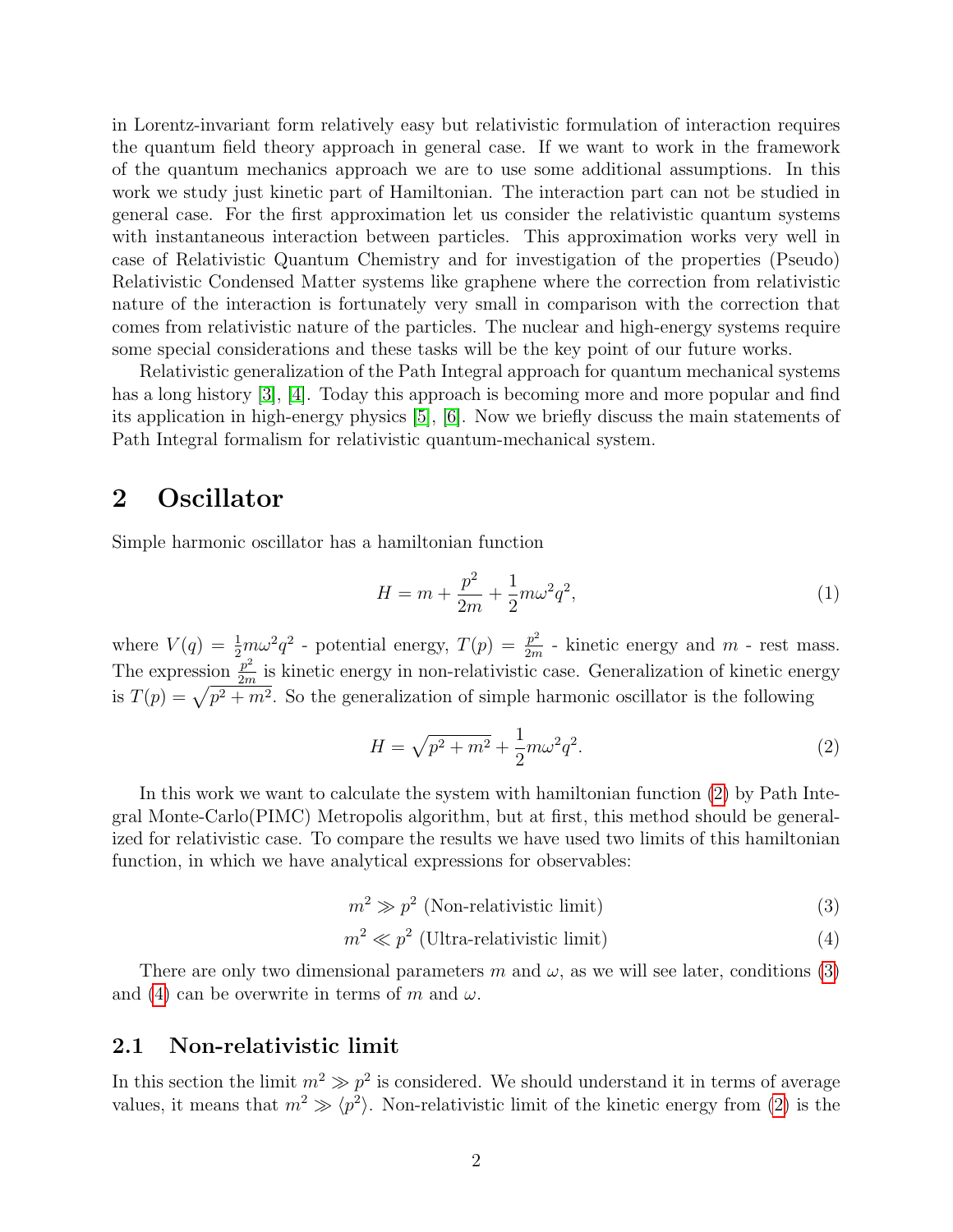in Lorentz-invariant form relatively easy but relativistic formulation of interaction requires the quantum field theory approach in general case. If we want to work in the framework of the quantum mechanics approach we are to use some additional assumptions. In this work we study just kinetic part of Hamiltonian. The interaction part can not be studied in general case. For the first approximation let us consider the relativistic quantum systems with instantaneous interaction between particles. This approximation works very well in case of Relativistic Quantum Chemistry and for investigation of the properties (Pseudo) Relativistic Condensed Matter systems like graphene where the correction from relativistic nature of the interaction is fortunately very small in comparison with the correction that comes from relativistic nature of the particles. The nuclear and high-energy systems require some special considerations and these tasks will be the key point of our future works.

Relativistic generalization of the Path Integral approach for quantum mechanical systems has a long history [\[3\]](#page-11-2), [\[4\]](#page-11-3). Today this approach is becoming more and more popular and find its application in high-energy physics [\[5\]](#page-11-4), [\[6\]](#page-11-5). Now we briefly discuss the main statements of Path Integral formalism for relativistic quantum-mechanical system.

### 2 Oscillator

Simple harmonic oscillator has a hamiltonian function

$$
H = m + \frac{p^2}{2m} + \frac{1}{2}m\omega^2 q^2,
$$
\n(1)

where  $V(q) = \frac{1}{2}m\omega^2 q^2$  - potential energy,  $T(p) = \frac{p^2}{2m}$  $\frac{p^2}{2m}$  - kinetic energy and  $m$  - rest mass. The expression  $\frac{p^2}{2m}$  $\frac{p}{2m}$  is kinetic energy in non-relativistic case. Generalization of kinetic energy is  $T(p) = \sqrt{p^2 + m^2}$ . So the generalization of simple harmonic oscillator is the following

<span id="page-1-0"></span>
$$
H = \sqrt{p^2 + m^2} + \frac{1}{2}m\omega^2 q^2.
$$
 (2)

In this work we want to calculate the system with hamiltonian function [\(2\)](#page-1-0) by Path Integral Monte-Carlo(PIMC) Metropolis algorithm, but at first, this method should be generalized for relativistic case. To compare the results we have used two limits of this hamiltonian function, in which we have analytical expressions for observables:

<span id="page-1-1"></span>
$$
m^2 \gg p^2
$$
 (Non-relativistic limit) (3)

<span id="page-1-2"></span>
$$
m^2 \ll p^2
$$
 (Ultra-relativistic limit) (4)

There are only two dimensional parameters m and  $\omega$ , as we will see later, conditions [\(3\)](#page-1-1) and [\(4\)](#page-1-2) can be overwrite in terms of m and  $\omega$ .

### 2.1 Non-relativistic limit

In this section the limit  $m^2 \gg p^2$  is considered. We should understand it in terms of average values, it means that  $m^2 \gg \langle p^2 \rangle$ . Non-relativistic limit of the kinetic energy from [\(2\)](#page-1-0) is the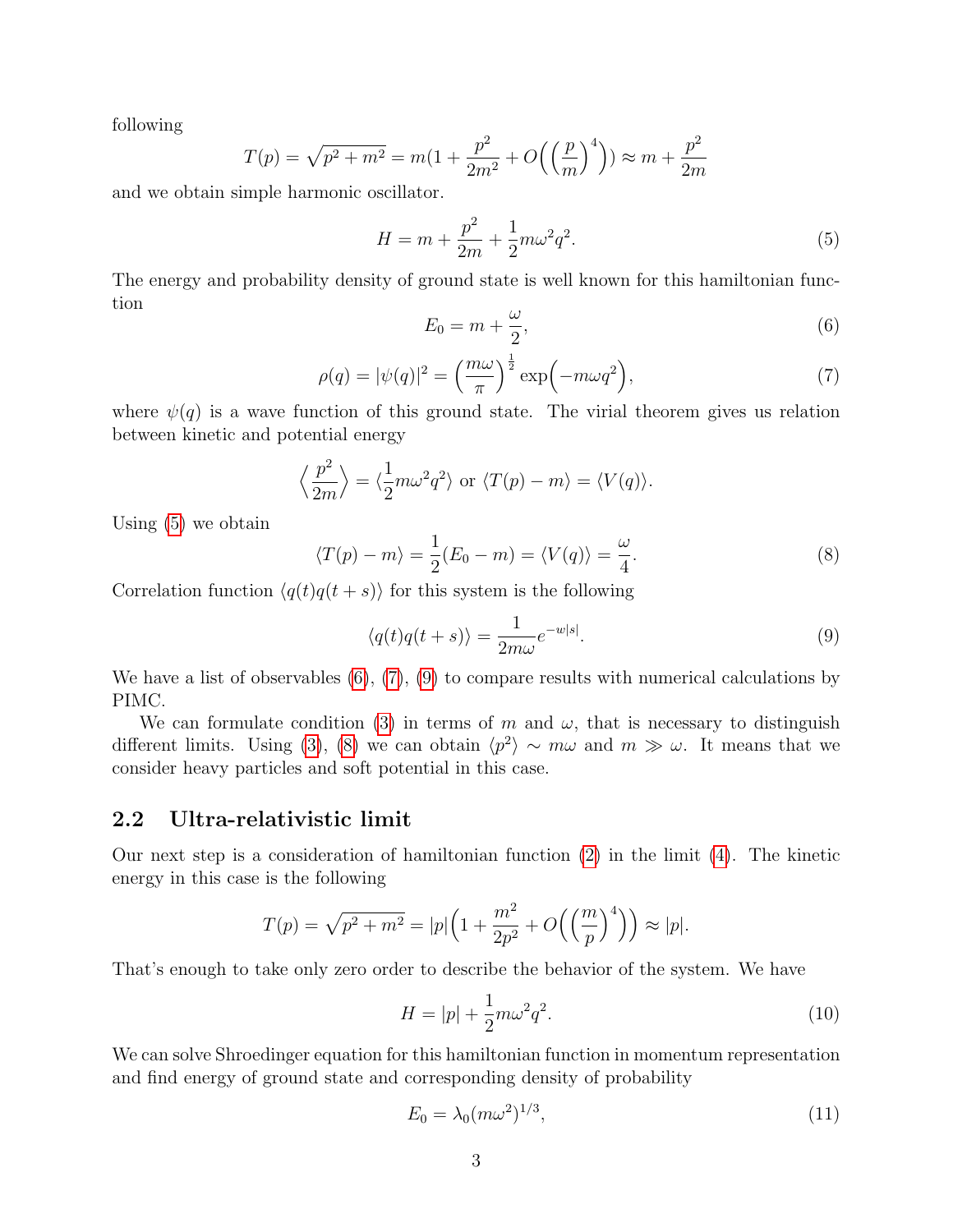following

$$
T(p) = \sqrt{p^2 + m^2} = m(1 + \frac{p^2}{2m^2} + O\left(\left(\frac{p}{m}\right)^4\right)) \approx m + \frac{p^2}{2m}
$$

and we obtain simple harmonic oscillator.

<span id="page-2-0"></span>
$$
H = m + \frac{p^2}{2m} + \frac{1}{2}m\omega^2 q^2.
$$
\n(5)

The energy and probability density of ground state is well known for this hamiltonian function ω

<span id="page-2-1"></span>
$$
E_0 = m + \frac{\omega}{2},\tag{6}
$$

<span id="page-2-2"></span>
$$
\rho(q) = |\psi(q)|^2 = \left(\frac{m\omega}{\pi}\right)^{\frac{1}{2}} \exp\left(-m\omega q^2\right),\tag{7}
$$

where  $\psi(q)$  is a wave function of this ground state. The virial theorem gives us relation between kinetic and potential energy

$$
\left\langle \frac{p^2}{2m} \right\rangle = \left\langle \frac{1}{2}m\omega^2 q^2 \right\rangle
$$
 or  $\langle T(p) - m \rangle = \langle V(q) \rangle$ .

Using [\(5\)](#page-2-0) we obtain

<span id="page-2-4"></span>
$$
\langle T(p) - m \rangle = \frac{1}{2}(E_0 - m) = \langle V(q) \rangle = \frac{\omega}{4}.
$$
 (8)

Correlation function  $\langle q(t)q(t + s) \rangle$  for this system is the following

<span id="page-2-3"></span>
$$
\langle q(t)q(t+s)\rangle = \frac{1}{2m\omega}e^{-w|s|}.\tag{9}
$$

We have a list of observables  $(6)$ ,  $(7)$ ,  $(9)$  to compare results with numerical calculations by PIMC.

We can formulate condition [\(3\)](#page-1-1) in terms of m and  $\omega$ , that is necessary to distinguish different limits. Using [\(3\)](#page-1-1), [\(8\)](#page-2-4) we can obtain  $\langle p^2 \rangle \sim m\omega$  and  $m \gg \omega$ . It means that we consider heavy particles and soft potential in this case.

#### 2.2 Ultra-relativistic limit

Our next step is a consideration of hamiltonian function [\(2\)](#page-1-0) in the limit [\(4\)](#page-1-2). The kinetic energy in this case is the following

$$
T(p) = \sqrt{p^2 + m^2} = |p| \left( 1 + \frac{m^2}{2p^2} + O\left(\left(\frac{m}{p}\right)^4\right) \right) \approx |p|.
$$

That's enough to take only zero order to describe the behavior of the system. We have

$$
H = |p| + \frac{1}{2}m\omega^2 q^2.
$$
 (10)

We can solve Shroedinger equation for this hamiltonian function in momentum representation and find energy of ground state and corresponding density of probability

$$
E_0 = \lambda_0 (m\omega^2)^{1/3},\tag{11}
$$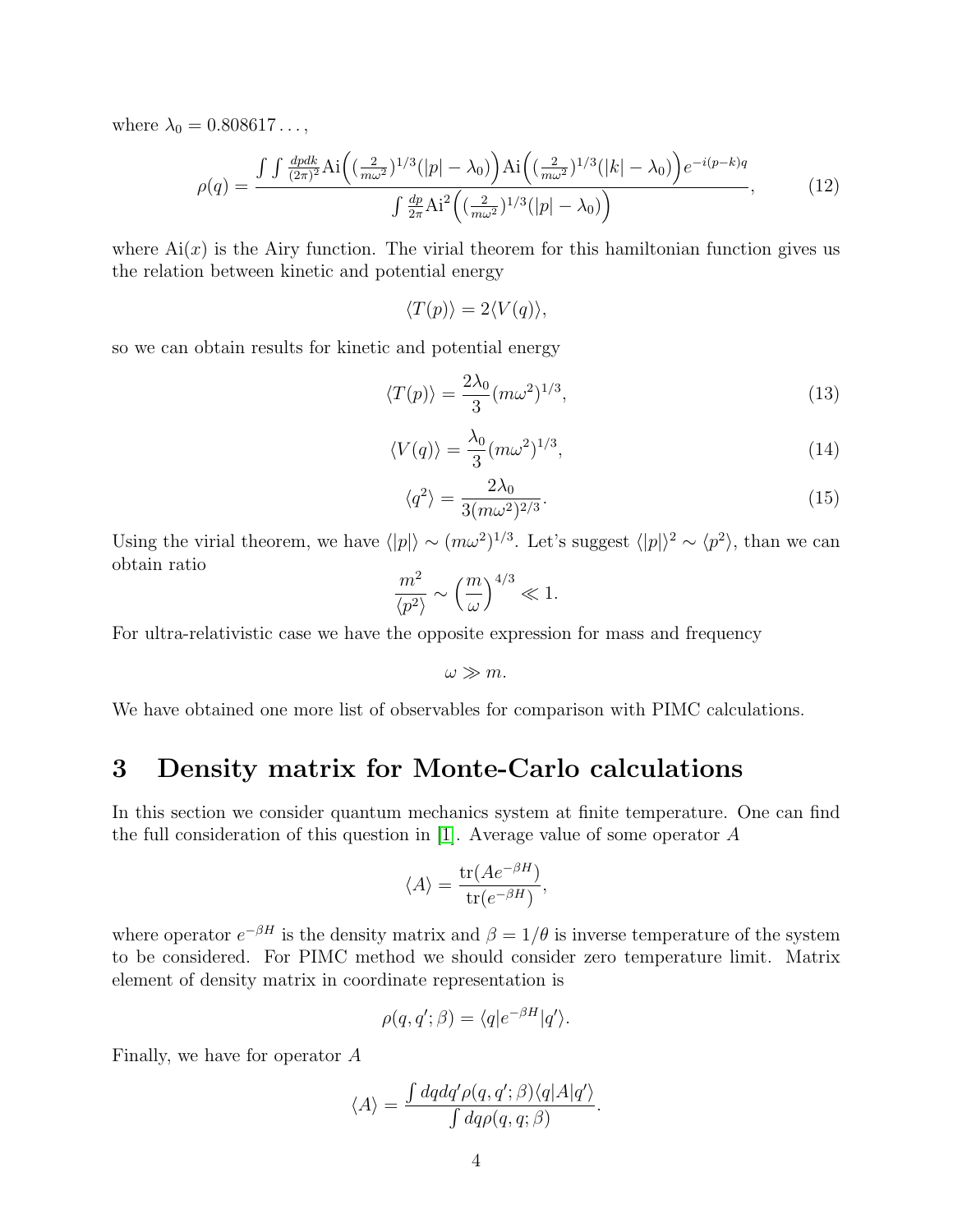where  $\lambda_0 = 0.808617...$ ,

<span id="page-3-2"></span>
$$
\rho(q) = \frac{\int \int \frac{dpdk}{(2\pi)^2} \text{Ai}\left((\frac{2}{m\omega^2})^{1/3}(|p| - \lambda_0)\right) \text{Ai}\left((\frac{2}{m\omega^2})^{1/3}(|k| - \lambda_0)\right) e^{-i(p-k)q}}{\int \frac{dp}{2\pi} \text{Ai}^2\left((\frac{2}{m\omega^2})^{1/3}(|p| - \lambda_0)\right)},\tag{12}
$$

where  $Ai(x)$  is the Airy function. The virial theorem for this hamiltonian function gives us the relation between kinetic and potential energy

$$
\langle T(p) \rangle = 2 \langle V(q) \rangle,
$$

so we can obtain results for kinetic and potential energy

<span id="page-3-0"></span>
$$
\langle T(p) \rangle = \frac{2\lambda_0}{3} (m\omega^2)^{1/3},\tag{13}
$$

<span id="page-3-1"></span>
$$
\langle V(q) \rangle = \frac{\lambda_0}{3} (m\omega^2)^{1/3},\tag{14}
$$

$$
\langle q^2 \rangle = \frac{2\lambda_0}{3(m\omega^2)^{2/3}}.\tag{15}
$$

Using the virial theorem, we have  $\langle |p| \rangle \sim (m\omega^2)^{1/3}$ . Let's suggest  $\langle |p| \rangle^2 \sim \langle p^2 \rangle$ , than we can obtain ratio

$$
\frac{m^2}{\langle p^2 \rangle} \sim \left(\frac{m}{\omega}\right)^{4/3} \ll 1.
$$

For ultra-relativistic case we have the opposite expression for mass and frequency

$$
\omega \gg m.
$$

We have obtained one more list of observables for comparison with PIMC calculations.

### 3 Density matrix for Monte-Carlo calculations

In this section we consider quantum mechanics system at finite temperature. One can find the full consideration of this question in [\[1\]](#page-11-0). Average value of some operator  $A$ 

$$
\langle A \rangle = \frac{\text{tr}(Ae^{-\beta H})}{\text{tr}(e^{-\beta H})},
$$

where operator  $e^{-\beta H}$  is the density matrix and  $\beta = 1/\theta$  is inverse temperature of the system to be considered. For PIMC method we should consider zero temperature limit. Matrix element of density matrix in coordinate representation is

$$
\rho(q, q'; \beta) = \langle q|e^{-\beta H}|q'\rangle.
$$

Finally, we have for operator A

$$
\langle A \rangle = \frac{\int dq dq' \rho(q, q'; \beta) \langle q | A | q' \rangle}{\int dq \rho(q, q; \beta)}.
$$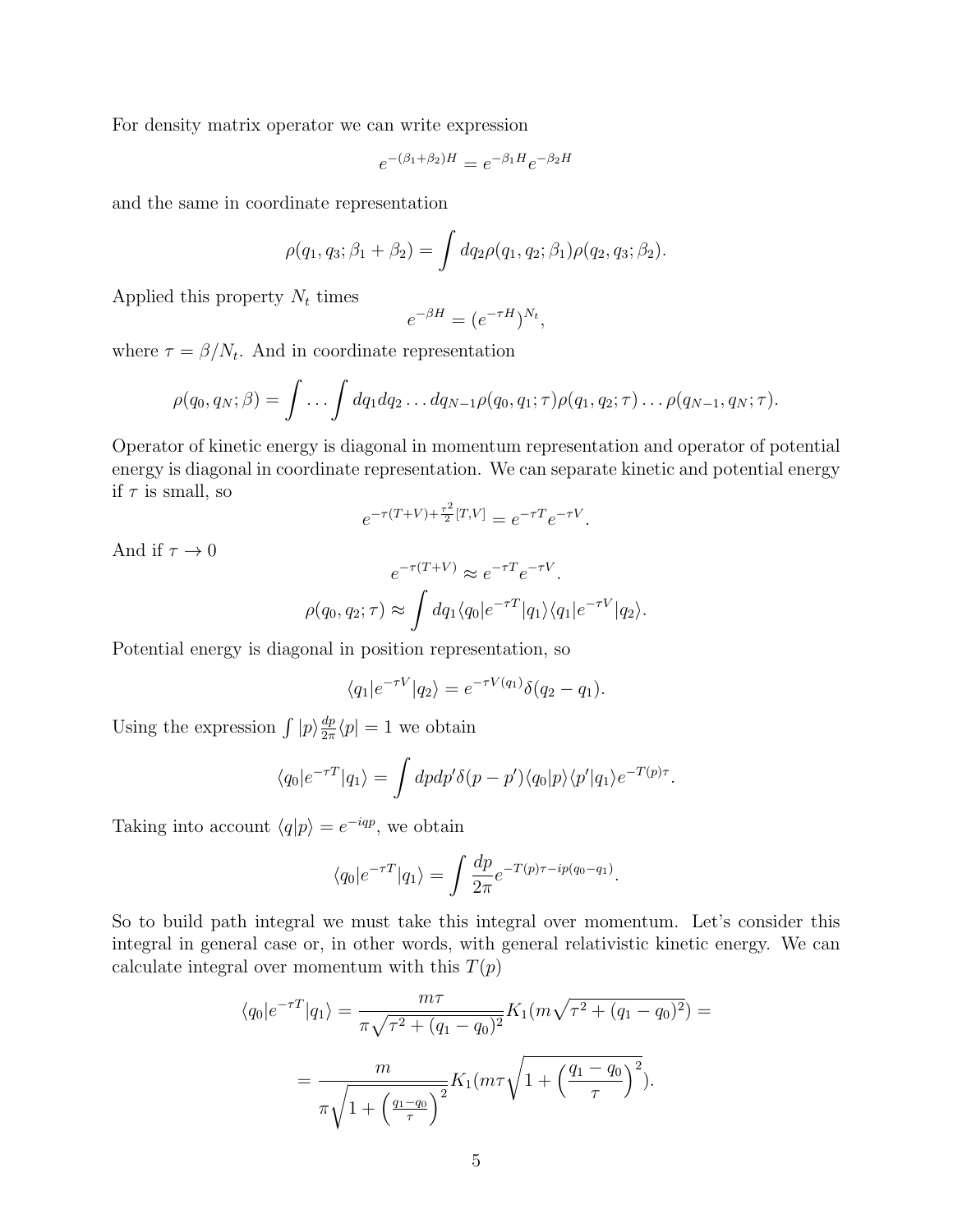For density matrix operator we can write expression

$$
e^{-(\beta_1 + \beta_2)H} = e^{-\beta_1 H} e^{-\beta_2 H}
$$

and the same in coordinate representation

$$
\rho(q_1, q_3; \beta_1 + \beta_2) = \int dq_2 \rho(q_1, q_2; \beta_1) \rho(q_2, q_3; \beta_2).
$$

Applied this property  $N_t$  times

$$
e^{-\beta H} = (e^{-\tau H})^{N_t},
$$

where  $\tau = \beta/N_t$ . And in coordinate representation

$$
\rho(q_0, q_N; \beta) = \int \dots \int dq_1 dq_2 \dots dq_{N-1} \rho(q_0, q_1; \tau) \rho(q_1, q_2; \tau) \dots \rho(q_{N-1}, q_N; \tau).
$$

Operator of kinetic energy is diagonal in momentum representation and operator of potential energy is diagonal in coordinate representation. We can separate kinetic and potential energy if  $\tau$  is small, so

$$
e^{-\tau(T+V)+\frac{\tau^2}{2}[T,V]} = e^{-\tau T}e^{-\tau V}.
$$

And if  $\tau \to 0$ 

$$
e^{-\tau(T+V)} \approx e^{-\tau T} e^{-\tau V}.
$$

$$
\rho(q_0, q_2; \tau) \approx \int dq_1 \langle q_0 | e^{-\tau T} | q_1 \rangle \langle q_1 | e^{-\tau V} | q_2 \rangle.
$$

Potential energy is diagonal in position representation, so

$$
\langle q_1|e^{-\tau V}|q_2\rangle = e^{-\tau V(q_1)}\delta(q_2-q_1).
$$

Using the expression  $\int |p\rangle \frac{dp}{2\pi}$  $\frac{dp}{2\pi}\langle p|=1$  we obtain

$$
\langle q_0|e^{-\tau T}|q_1\rangle = \int dp dp' \delta(p-p') \langle q_0|p\rangle \langle p'|q_1\rangle e^{-T(p)\tau}.
$$

Taking into account  $\langle q|p\rangle = e^{-iqp}$ , we obtain

$$
\langle q_0|e^{-\tau T}|q_1\rangle = \int \frac{dp}{2\pi} e^{-T(p)\tau - ip(q_0 - q_1)}.
$$

So to build path integral we must take this integral over momentum. Let's consider this integral in general case or, in other words, with general relativistic kinetic energy. We can calculate integral over momentum with this  $T(p)$ 

$$
\langle q_0|e^{-\tau T}|q_1\rangle = \frac{m\tau}{\pi\sqrt{\tau^2 + (q_1 - q_0)^2}} K_1(m\sqrt{\tau^2 + (q_1 - q_0)^2}) =
$$
  
= 
$$
\frac{m}{\pi\sqrt{1 + \left(\frac{q_1 - q_0}{\tau}\right)^2}} K_1(m\tau\sqrt{1 + \left(\frac{q_1 - q_0}{\tau}\right)^2}).
$$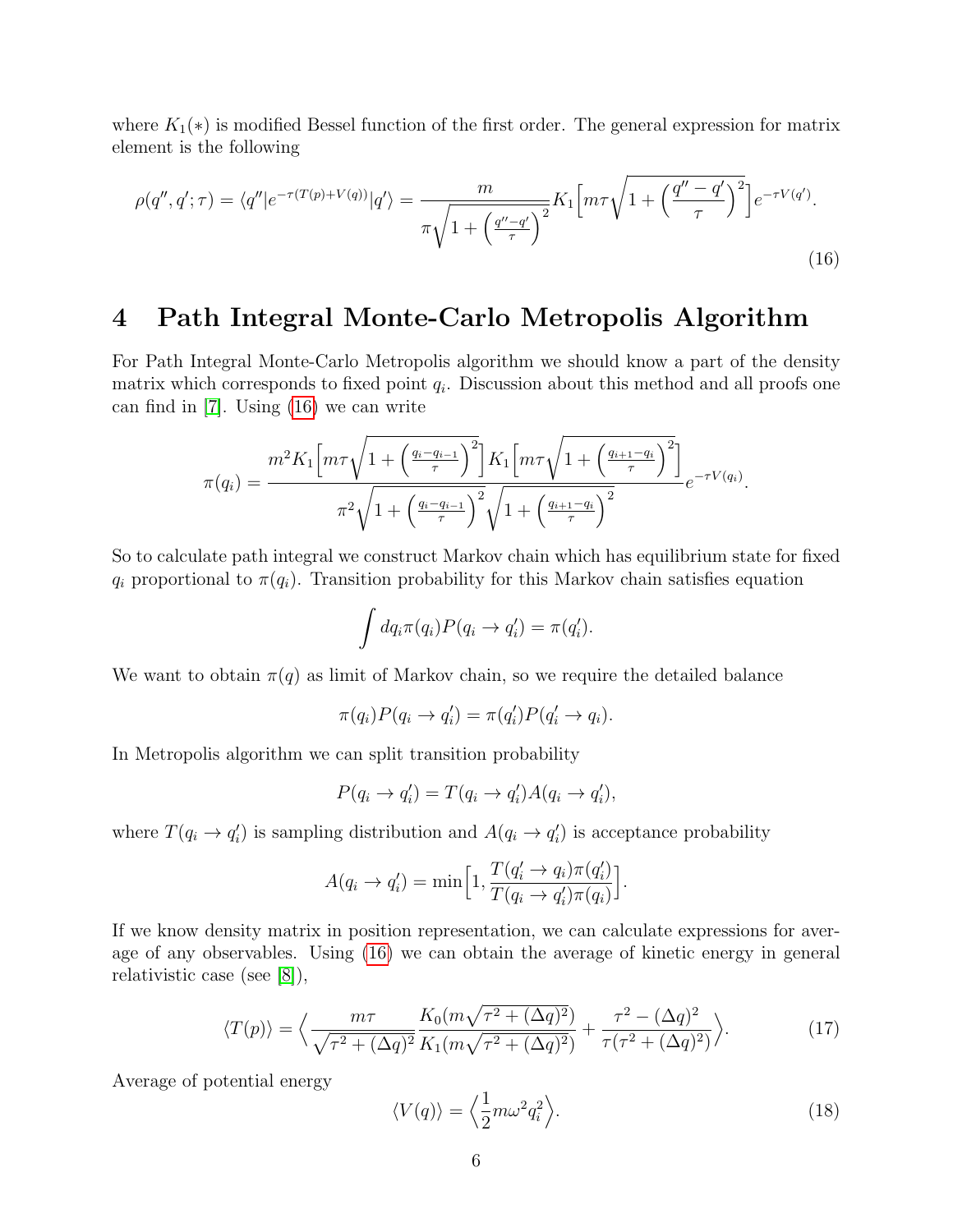where  $K_1(*)$  is modified Bessel function of the first order. The general expression for matrix element is the following

<span id="page-5-0"></span>
$$
\rho(q'', q'; \tau) = \langle q''|e^{-\tau(T(p) + V(q))}|q'\rangle = \frac{m}{\pi\sqrt{1 + \left(\frac{q'' - q'}{\tau}\right)^2}} K_1 \left[m\tau\sqrt{1 + \left(\frac{q'' - q'}{\tau}\right)^2}\right] e^{-\tau V(q')}.
$$
\n(16)

### 4 Path Integral Monte-Carlo Metropolis Algorithm

For Path Integral Monte-Carlo Metropolis algorithm we should know a part of the density matrix which corresponds to fixed point  $q_i$ . Discussion about this method and all proofs one can find in [\[7\]](#page-11-6). Using [\(16\)](#page-5-0) we can write

$$
\pi(q_i) = \frac{m^2 K_1 \left[ m \tau \sqrt{1 + \left(\frac{q_i - q_{i-1}}{\tau}\right)^2} \right] K_1 \left[ m \tau \sqrt{1 + \left(\frac{q_{i+1} - q_i}{\tau}\right)^2} \right]}{\pi^2 \sqrt{1 + \left(\frac{q_i - q_{i-1}}{\tau}\right)^2} \sqrt{1 + \left(\frac{q_{i+1} - q_i}{\tau}\right)^2}} e^{-\tau V(q_i)}.
$$

So to calculate path integral we construct Markov chain which has equilibrium state for fixed  $q_i$  proportional to  $\pi(q_i)$ . Transition probability for this Markov chain satisfies equation

$$
\int dq_i \pi(q_i) P(q_i \to q'_i) = \pi(q'_i).
$$

We want to obtain  $\pi(q)$  as limit of Markov chain, so we require the detailed balance

$$
\pi(q_i)P(q_i \to q'_i) = \pi(q'_i)P(q'_i \to q_i).
$$

In Metropolis algorithm we can split transition probability

$$
P(q_i \to q'_i) = T(q_i \to q'_i)A(q_i \to q'_i),
$$

where  $T(q_i \rightarrow q'_i)$  is sampling distribution and  $A(q_i \rightarrow q'_i)$  is acceptance probability

$$
A(q_i \to q'_i) = \min\left[1, \frac{T(q'_i \to q_i)\pi(q'_i)}{T(q_i \to q'_i)\pi(q_i)}\right].
$$

If we know density matrix in position representation, we can calculate expressions for average of any observables. Using [\(16\)](#page-5-0) we can obtain the average of kinetic energy in general relativistic case (see [\[8\]](#page-11-7)),

$$
\langle T(p) \rangle = \left\langle \frac{m\tau}{\sqrt{\tau^2 + (\Delta q)^2}} \frac{K_0(m\sqrt{\tau^2 + (\Delta q)^2})}{K_1(m\sqrt{\tau^2 + (\Delta q)^2})} + \frac{\tau^2 - (\Delta q)^2}{\tau(\tau^2 + (\Delta q)^2)} \right\rangle. \tag{17}
$$

Average of potential energy

$$
\langle V(q) \rangle = \left\langle \frac{1}{2} m \omega^2 q_i^2 \right\rangle. \tag{18}
$$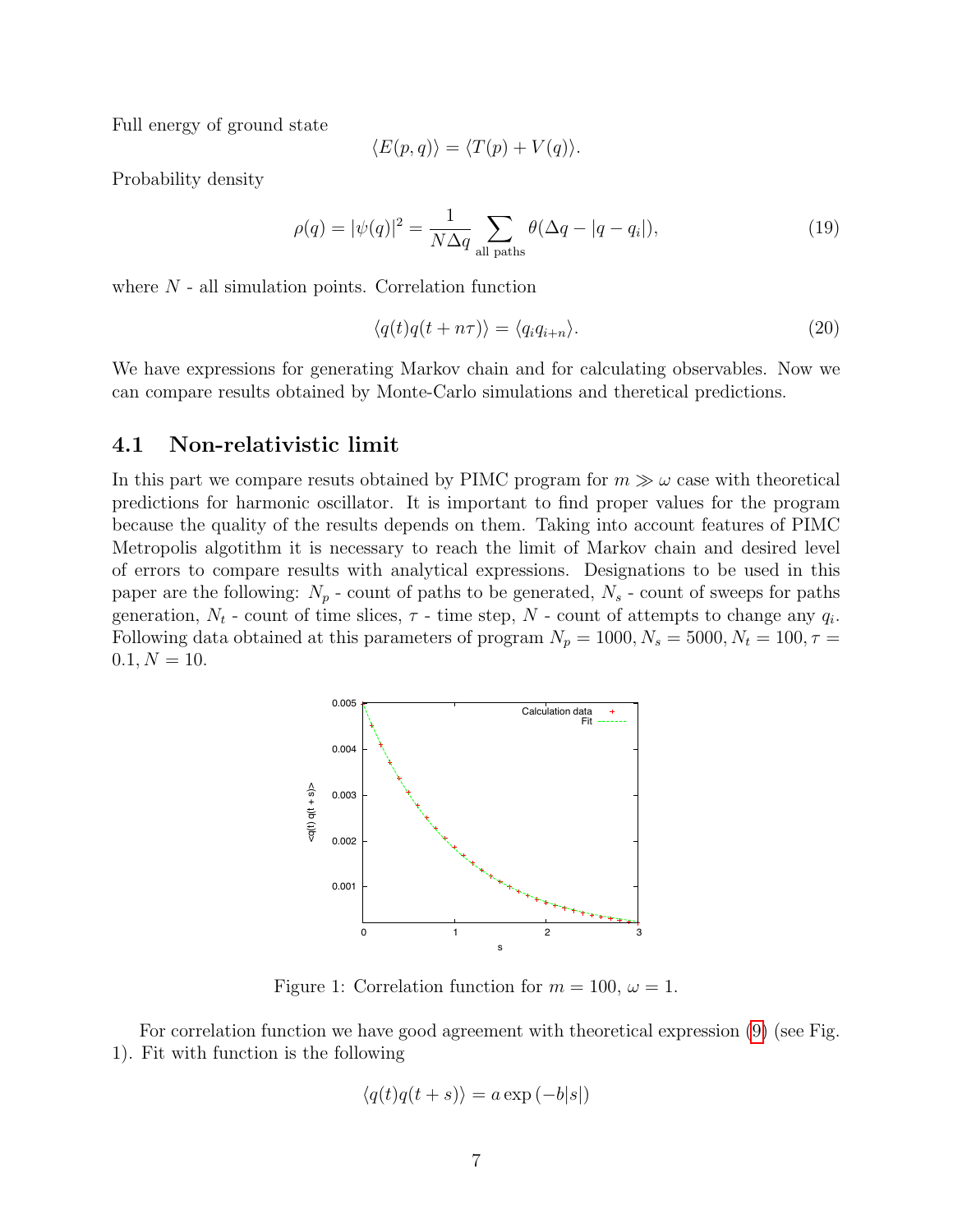Full energy of ground state

$$
\langle E(p,q) \rangle = \langle T(p) + V(q) \rangle.
$$

Probability density

$$
\rho(q) = |\psi(q)|^2 = \frac{1}{N\Delta q} \sum_{\text{all paths}} \theta(\Delta q - |q - q_i|),\tag{19}
$$

where  $N$  - all simulation points. Correlation function

$$
\langle q(t)q(t+n\tau)\rangle = \langle q_i q_{i+n}\rangle. \tag{20}
$$

We have expressions for generating Markov chain and for calculating observables. Now we can compare results obtained by Monte-Carlo simulations and theretical predictions.

#### 4.1 Non-relativistic limit

In this part we compare resuts obtained by PIMC program for  $m \gg \omega$  case with theoretical predictions for harmonic oscillator. It is important to find proper values for the program because the quality of the results depends on them. Taking into account features of PIMC Metropolis algotithm it is necessary to reach the limit of Markov chain and desired level of errors to compare results with analytical expressions. Designations to be used in this paper are the following:  $N_p$  - count of paths to be generated,  $N_s$  - count of sweeps for paths generation,  $N_t$  - count of time slices,  $\tau$  - time step,  $N$  - count of attempts to change any  $q_i$ . Following data obtained at this parameters of program  $N_p = 1000, N_s = 5000, N_t = 100, \tau =$  $0.1, N = 10.$ 



Figure 1: Correlation function for  $m = 100, \omega = 1$ .

For correlation function we have good agreement with theoretical expression [\(9\)](#page-2-3) (see Fig. 1). Fit with function is the following

$$
\langle q(t)q(t+s)\rangle = a\exp(-b|s|)
$$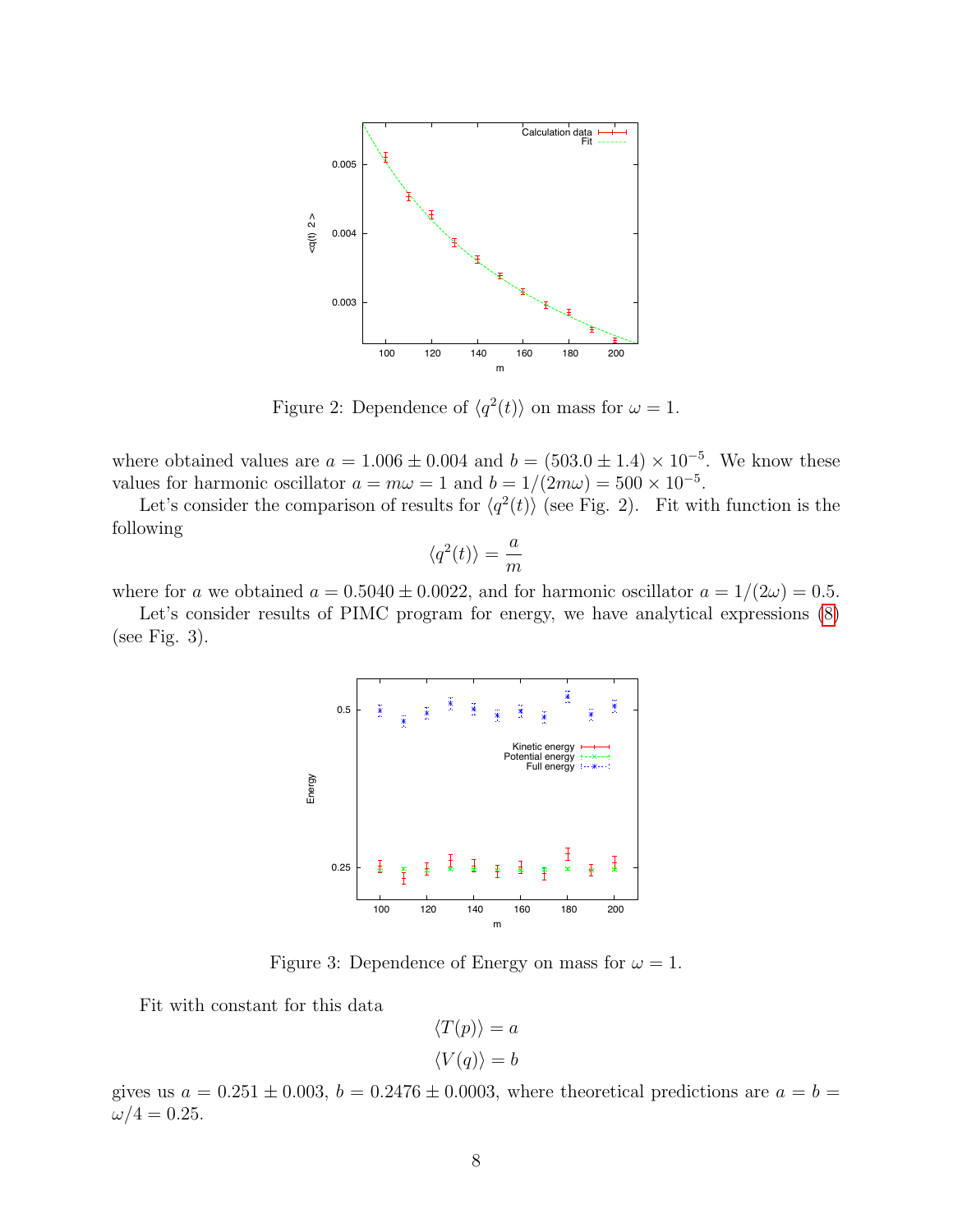

Figure 2: Dependence of  $\langle q^2(t) \rangle$  on mass for  $\omega = 1$ .

where obtained values are  $a = 1.006 \pm 0.004$  and  $b = (503.0 \pm 1.4) \times 10^{-5}$ . We know these values for harmonic oscillator  $a = m\omega = 1$  and  $b = 1/(2m\omega) = 500 \times 10^{-5}$ .

Let's consider the comparison of results for  $\langle q^2(t) \rangle$  (see Fig. 2). Fit with function is the following

$$
\langle q^2(t)\rangle = \frac{a}{m}
$$

where for a we obtained  $a = 0.5040 \pm 0.0022$ , and for harmonic oscillator  $a = 1/(2\omega) = 0.5$ .

Let's consider results of PIMC program for energy, we have analytical expressions [\(8\)](#page-2-4) (see Fig. 3).



Figure 3: Dependence of Energy on mass for  $\omega = 1$ .

Fit with constant for this data

$$
\langle T(p) \rangle = a
$$

$$
\langle V(q) \rangle = b
$$

gives us  $a = 0.251 \pm 0.003$ ,  $b = 0.2476 \pm 0.0003$ , where theoretical predictions are  $a = b =$  $\omega/4 = 0.25$ .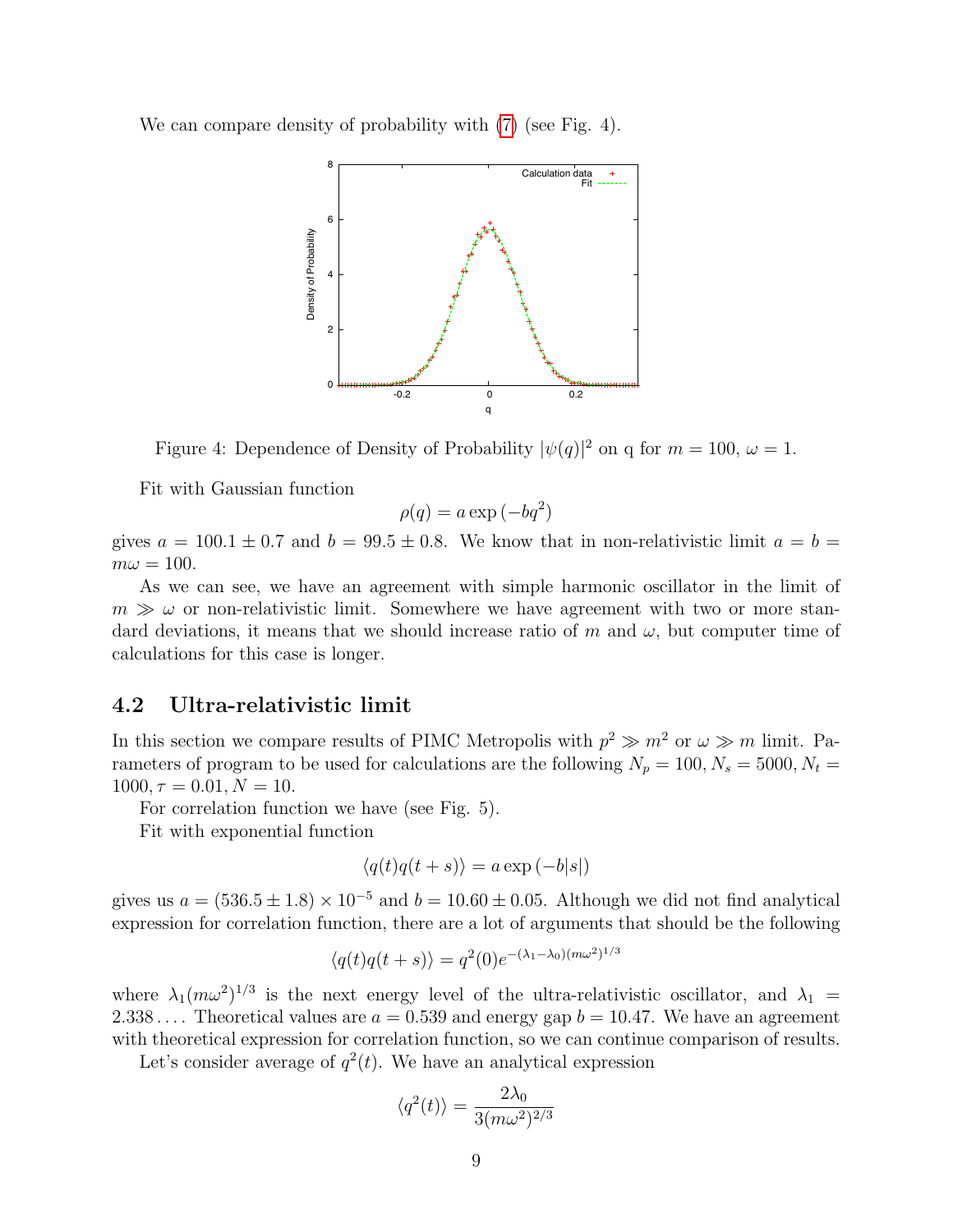We can compare density of probability with [\(7\)](#page-2-2) (see Fig. 4).



Figure 4: Dependence of Density of Probability  $|\psi(q)|^2$  on q for  $m = 100$ ,  $\omega = 1$ .

Fit with Gaussian function

$$
\rho(q) = a \exp(-bq^2)
$$

gives  $a = 100.1 \pm 0.7$  and  $b = 99.5 \pm 0.8$ . We know that in non-relativistic limit  $a = b =$  $m\omega = 100.$ 

As we can see, we have an agreement with simple harmonic oscillator in the limit of  $m \gg \omega$  or non-relativistic limit. Somewhere we have agreement with two or more standard deviations, it means that we should increase ratio of m and  $\omega$ , but computer time of calculations for this case is longer.

#### 4.2 Ultra-relativistic limit

In this section we compare results of PIMC Metropolis with  $p^2 \gg m^2$  or  $\omega \gg m$  limit. Parameters of program to be used for calculations are the following  $N_p = 100, N_s = 5000, N_t =$  $1000, \tau = 0.01, N = 10.$ 

For correlation function we have (see Fig. 5).

Fit with exponential function

$$
\langle q(t)q(t+s)\rangle = a \exp(-b|s|)
$$

gives us  $a = (536.5 \pm 1.8) \times 10^{-5}$  and  $b = 10.60 \pm 0.05$ . Although we did not find analytical expression for correlation function, there are a lot of arguments that should be the following

$$
\langle q(t)q(t+s)\rangle = q^2(0)e^{-(\lambda_1-\lambda_0)(m\omega^2)^{1/3}}
$$

where  $\lambda_1(m\omega^2)^{1/3}$  is the next energy level of the ultra-relativistic oscillator, and  $\lambda_1$  = 2.338.... Theoretical values are  $a = 0.539$  and energy gap  $b = 10.47$ . We have an agreement with theoretical expression for correlation function, so we can continue comparison of results.

Let's consider average of  $q^2(t)$ . We have an analytical expression

$$
\langle q^2(t)\rangle = \frac{2\lambda_0}{3(m\omega^2)^{2/3}}
$$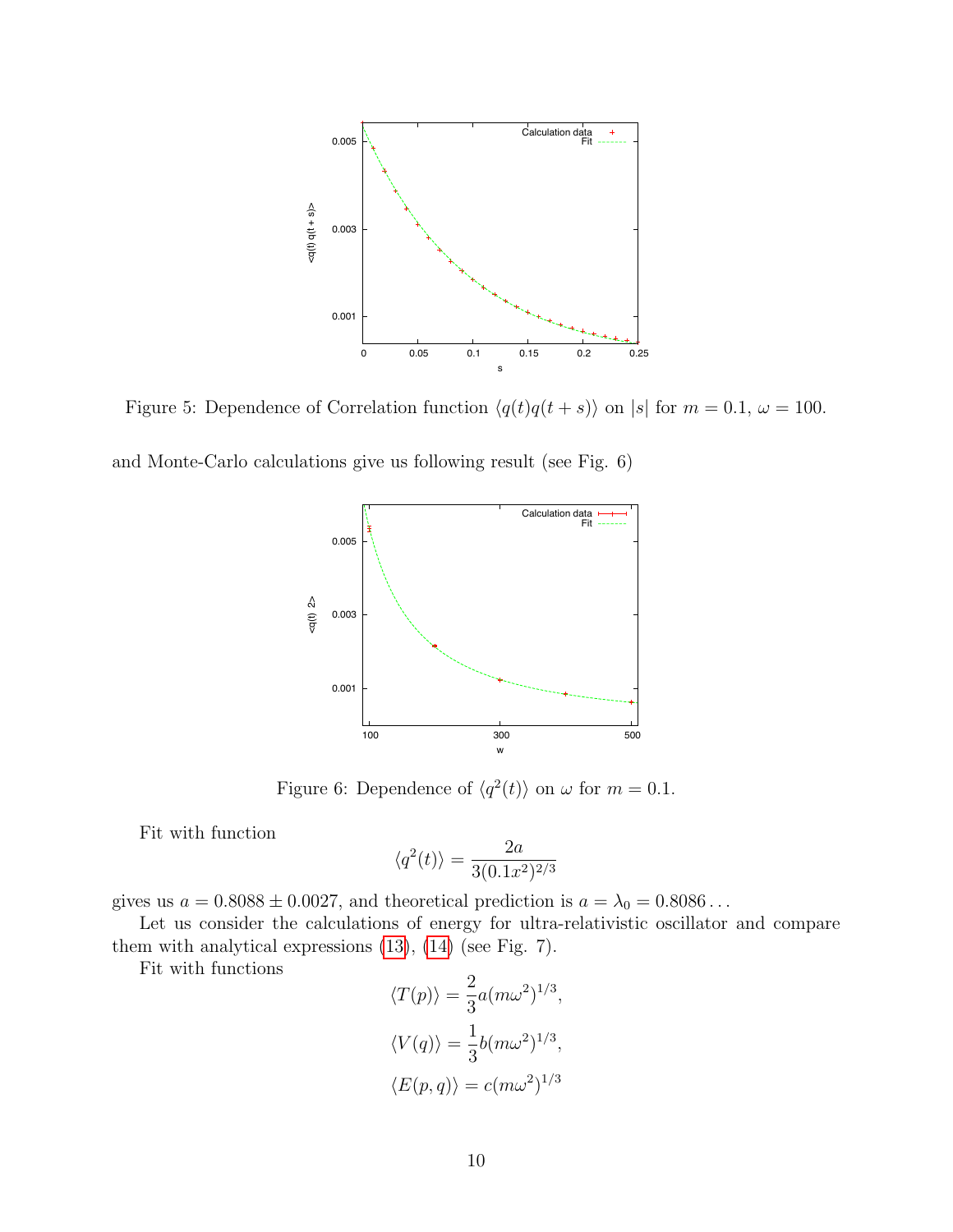

Figure 5: Dependence of Correlation function  $\langle q(t)q(t + s) \rangle$  on |s| for  $m = 0.1$ ,  $\omega = 100$ .

and Monte-Carlo calculations give us following result (see Fig. 6)



Figure 6: Dependence of  $\langle q^2(t) \rangle$  on  $\omega$  for  $m = 0.1$ .

Fit with function

$$
\langle q^2(t) \rangle = \frac{2a}{3(0.1x^2)^{2/3}}
$$

gives us  $a = 0.8088 \pm 0.0027$ , and theoretical prediction is  $a = \lambda_0 = 0.8086...$ 

Let us consider the calculations of energy for ultra-relativistic oscillator and compare them with analytical expressions [\(13\)](#page-3-0), [\(14\)](#page-3-1) (see Fig. 7).

Fit with functions

$$
\langle T(p) \rangle = \frac{2}{3} a (m\omega^2)^{1/3},
$$
  

$$
\langle V(q) \rangle = \frac{1}{3} b (m\omega^2)^{1/3},
$$
  

$$
\langle E(p,q) \rangle = c (m\omega^2)^{1/3}
$$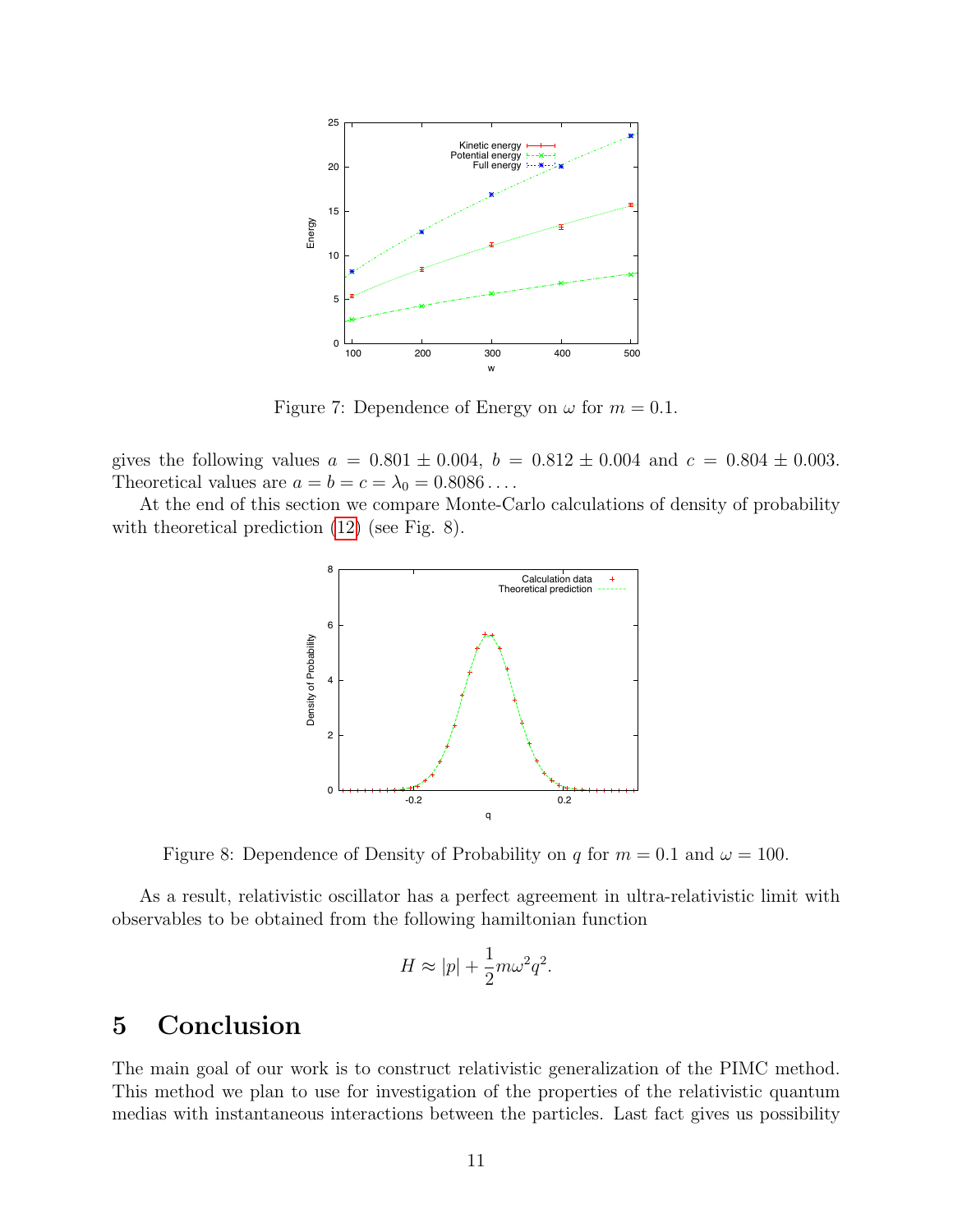

Figure 7: Dependence of Energy on  $\omega$  for  $m = 0.1$ .

gives the following values  $a = 0.801 \pm 0.004$ ,  $b = 0.812 \pm 0.004$  and  $c = 0.804 \pm 0.003$ . Theoretical values are  $a = b = c = \lambda_0 = 0.8086...$ 

At the end of this section we compare Monte-Carlo calculations of density of probability with theoretical prediction  $(12)$  (see Fig. 8).



Figure 8: Dependence of Density of Probability on q for  $m = 0.1$  and  $\omega = 100$ .

As a result, relativistic oscillator has a perfect agreement in ultra-relativistic limit with observables to be obtained from the following hamiltonian function

$$
H \approx |p| + \frac{1}{2}m\omega^2 q^2.
$$

## 5 Conclusion

The main goal of our work is to construct relativistic generalization of the PIMC method. This method we plan to use for investigation of the properties of the relativistic quantum medias with instantaneous interactions between the particles. Last fact gives us possibility